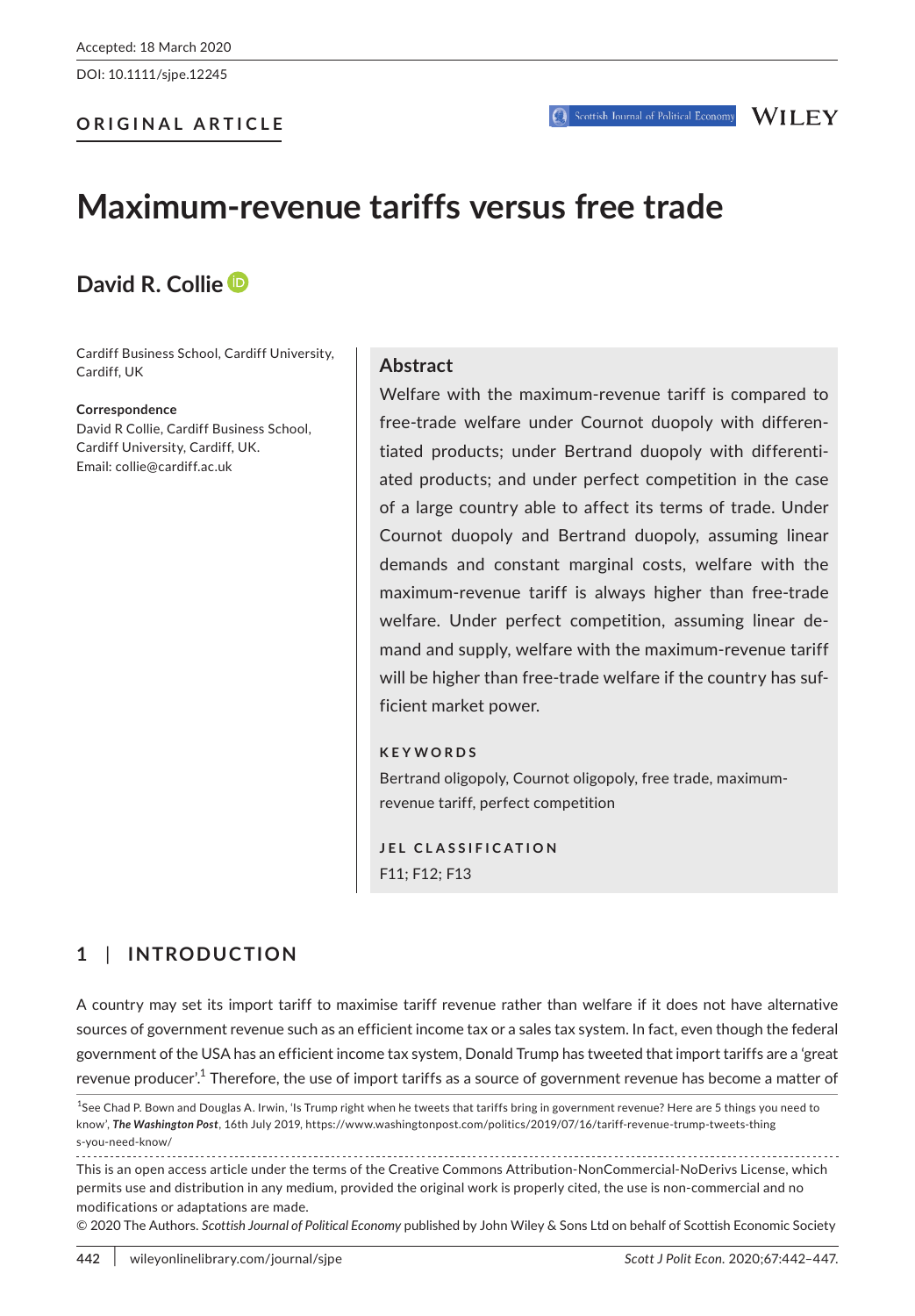DOI: 10.1111/sjpe.12245

#### **ORIGINAL ARTICLE**

# **Maximum-revenue tariffs versus free trade**

## **David R. Colli[e](https://orcid.org/0000-0002-3132-648X)**

Cardiff Business School, Cardiff University, Cardiff, UK

#### **Correspondence**

David R Collie, Cardiff Business School, Cardiff University, Cardiff, UK. Email: [collie@cardiff.ac.uk](mailto:collie@cardiff.ac.uk)

#### **Abstract**

Welfare with the maximum-revenue tariff is compared to free-trade welfare under Cournot duopoly with differentiated products; under Bertrand duopoly with differentiated products; and under perfect competition in the case of a large country able to affect its terms of trade. Under Cournot duopoly and Bertrand duopoly, assuming linear demands and constant marginal costs, welfare with the maximum-revenue tariff is always higher than free-trade welfare. Under perfect competition, assuming linear demand and supply, welfare with the maximum-revenue tariff will be higher than free-trade welfare if the country has sufficient market power.

#### **KEYWORDS**

Bertrand oligopoly, Cournot oligopoly, free trade, maximumrevenue tariff, perfect competition

**JEL CLASSIFICATION** F11; F12; F13

## **1** | **INTRODUCTION**

A country may set its import tariff to maximise tariff revenue rather than welfare if it does not have alternative sources of government revenue such as an efficient income tax or a sales tax system. In fact, even though the federal government of the USA has an efficient income tax system, Donald Trump has tweeted that import tariffs are a 'great revenue producer'.<sup>1</sup> Therefore, the use of import tariffs as a source of government revenue has become a matter of

This is an open access article under the terms of the [Creative Commons Attribution-NonCommercial-NoDerivs](http://creativecommons.org/licenses/by-nc-nd/4.0/) License, which permits use and distribution in any medium, provided the original work is properly cited, the use is non-commercial and no modifications or adaptations are made.

© 2020 The Authors. *Scottish Journal of Political Economy* published by John Wiley & Sons Ltd on behalf of Scottish Economic Society

<sup>&</sup>lt;sup>1</sup>See Chad P. Bown and Douglas A. Irwin, 'Is Trump right when he tweets that tariffs bring in government revenue? Here are 5 things you need to know', *The Washington Post*, 16th July 2019, [https://www.washingtonpost.com/politics/2019/07/16/tariff-revenue-trump-tweets-thing](//www.washingtonpost.com/politics/2019/07/16/tariff-revenue-trump-tweets-things-you-need-know/://www.washingtonpost.com/politics/2019/07/16/tariff-revenue-trump-tweets-things-you-need-know/) [s-you-need-know/](//www.washingtonpost.com/politics/2019/07/16/tariff-revenue-trump-tweets-things-you-need-know/://www.washingtonpost.com/politics/2019/07/16/tariff-revenue-trump-tweets-things-you-need-know/)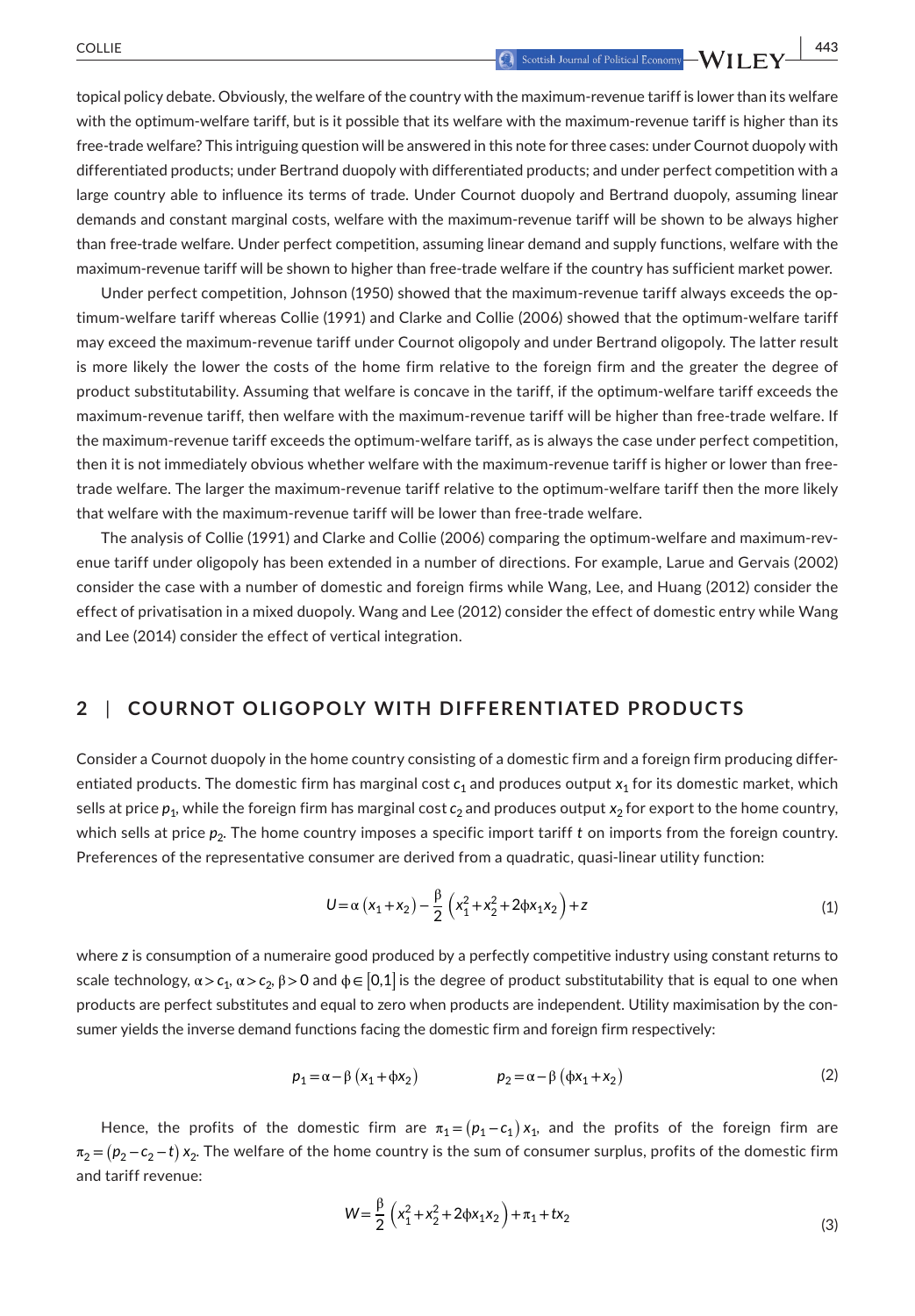topical policy debate. Obviously, the welfare of the country with the maximum-revenue tariff is lower than its welfare with the optimum-welfare tariff, but is it possible that its welfare with the maximum-revenue tariff is higher than its free-trade welfare? This intriguing question will be answered in this note for three cases: under Cournot duopoly with differentiated products; under Bertrand duopoly with differentiated products; and under perfect competition with a large country able to influence its terms of trade. Under Cournot duopoly and Bertrand duopoly, assuming linear demands and constant marginal costs, welfare with the maximum-revenue tariff will be shown to be always higher than free-trade welfare. Under perfect competition, assuming linear demand and supply functions, welfare with the maximum-revenue tariff will be shown to higher than free-trade welfare if the country has sufficient market power.

Under perfect competition, Johnson (1950) showed that the maximum-revenue tariff always exceeds the optimum-welfare tariff whereas Collie (1991) and Clarke and Collie (2006) showed that the optimum-welfare tariff may exceed the maximum-revenue tariff under Cournot oligopoly and under Bertrand oligopoly. The latter result is more likely the lower the costs of the home firm relative to the foreign firm and the greater the degree of product substitutability. Assuming that welfare is concave in the tariff, if the optimum-welfare tariff exceeds the maximum-revenue tariff, then welfare with the maximum-revenue tariff will be higher than free-trade welfare. If the maximum-revenue tariff exceeds the optimum-welfare tariff, as is always the case under perfect competition, then it is not immediately obvious whether welfare with the maximum-revenue tariff is higher or lower than freetrade welfare. The larger the maximum-revenue tariff relative to the optimum-welfare tariff then the more likely that welfare with the maximum-revenue tariff will be lower than free-trade welfare.

The analysis of Collie (1991) and Clarke and Collie (2006) comparing the optimum-welfare and maximum-revenue tariff under oligopoly has been extended in a number of directions. For example, Larue and Gervais (2002) consider the case with a number of domestic and foreign firms while Wang, Lee, and Huang (2012) consider the effect of privatisation in a mixed duopoly. Wang and Lee (2012) consider the effect of domestic entry while Wang and Lee (2014) consider the effect of vertical integration.

### **2** | **COURNOT OLIGOPOLY WITH DIFFERENTIATED PRODUCTS**

Consider a Cournot duopoly in the home country consisting of a domestic firm and a foreign firm producing differentiated products. The domestic firm has marginal cost  $c_1$  and produces output  $x_1$  for its domestic market, which sells at price  $p_1$ , while the foreign firm has marginal cost  $c_2$  and produces output  $x_2$  for export to the home country, which sells at price  $p_2$ . The home country imposes a specific import tariff t on imports from the foreign country. Preferences of the representative consumer are derived from a quadratic, quasi-linear utility function:

$$
U = \alpha (x_1 + x_2) - \frac{\beta}{2} (x_1^2 + x_2^2 + 2\phi x_1 x_2) + z
$$
 (1)

where *z* is consumption of a numeraire good produced by a perfectly competitive industry using constant returns to scale technology,  $\alpha$  >  $c_1$ ,  $\alpha$  >  $c_2$ , β > 0 and  $\phi$  ∈  $[0,1]$  is the degree of product substitutability that is equal to one when products are perfect substitutes and equal to zero when products are independent. Utility maximisation by the consumer yields the inverse demand functions facing the domestic firm and foreign firm respectively:

$$
p_1 = \alpha - \beta \left( x_1 + \phi x_2 \right) \qquad \qquad p_2 = \alpha - \beta \left( \phi x_1 + x_2 \right) \tag{2}
$$

Hence, the profits of the domestic firm are  $\pi_1 = (p_1 - c_1)x_1$ , and the profits of the foreign firm are  $\pi_2$  = ( $p_2$ − $c_2$ −t)  $x_2$ . The welfare of the home country is the sum of consumer surplus, profits of the domestic firm and tariff revenue:

$$
W = \frac{\beta}{2} \left( x_1^2 + x_2^2 + 2\phi x_1 x_2 \right) + \pi_1 + t x_2
$$
\n(3)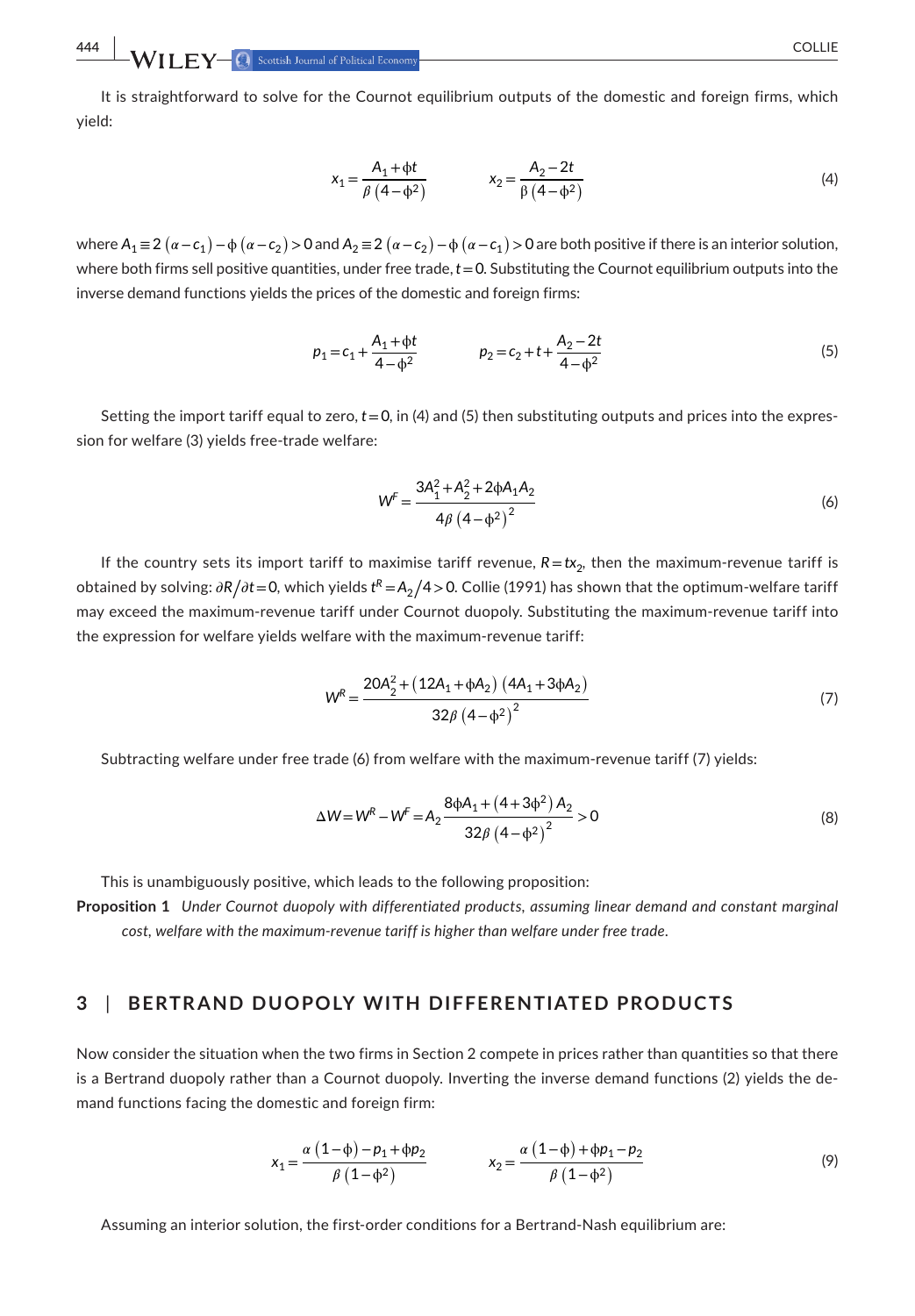**444 WII FY-C** Scottish Journal of Political Economy

It is straightforward to solve for the Cournot equilibrium outputs of the domestic and foreign firms, which yield:

$$
x_1 = \frac{A_1 + \phi t}{\beta (4 - \phi^2)} \qquad x_2 = \frac{A_2 - 2t}{\beta (4 - \phi^2)} \tag{4}
$$

where  $A_1$  ≡ 2  $(\alpha - c_1)$  −  $\phi$   $(\alpha - c_2)$  > 0 and  $A_2$  ≡ 2  $(\alpha - c_2)$  −  $\phi$   $(\alpha - c_1)$  > 0 are both positive if there is an interior solution, where both firms sell positive quantities, under free trade, *t*=0. Substituting the Cournot equilibrium outputs into the inverse demand functions yields the prices of the domestic and foreign firms:

$$
p_1 = c_1 + \frac{A_1 + \phi t}{4 - \phi^2} \qquad p_2 = c_2 + t + \frac{A_2 - 2t}{4 - \phi^2} \tag{5}
$$

Setting the import tariff equal to zero,  $t = 0$ , in (4) and (5) then substituting outputs and prices into the expression for welfare (3) yields free-trade welfare:

$$
W^{F} = \frac{3A_1^2 + A_2^2 + 2\phi A_1 A_2}{4\beta (4 - \phi^2)^2}
$$
 (6)

If the country sets its import tariff to maximise tariff revenue,  $R = tx_2$ , then the maximum-revenue tariff is obtained by solving:  $\partial R/\partial t$  = 0, which yields  $t^R$  = A $_2/4$  > 0. Collie (1991) has shown that the optimum-welfare tariff may exceed the maximum-revenue tariff under Cournot duopoly. Substituting the maximum-revenue tariff into the expression for welfare yields welfare with the maximum-revenue tariff:

$$
W^{R} = \frac{20A_{2}^{2} + (12A_{1} + \phi A_{2}) (4A_{1} + 3\phi A_{2})}{32\beta (4 - \phi^{2})^{2}}
$$
\n(7)

Subtracting welfare under free trade (6) from welfare with the maximum-revenue tariff (7) yields:

$$
\Delta W = W^R - W^F = A_2 \frac{8\phi A_1 + (4 + 3\phi^2) A_2}{32\beta (4 - \phi^2)^2} > 0
$$
\n(8)

This is unambiguously positive, which leads to the following proposition: **Proposition 1** *Under Cournot duopoly with differentiated products, assuming linear demand and constant marginal cost, welfare with the maximum-revenue tariff is higher than welfare under free trade.*

#### **3** | **BERTR AND DUOPOLY WITH DIFFERENTIATED PRODUCTS**

Now consider the situation when the two firms in Section 2 compete in prices rather than quantities so that there is a Bertrand duopoly rather than a Cournot duopoly. Inverting the inverse demand functions (2) yields the demand functions facing the domestic and foreign firm:

$$
x_1 = \frac{\alpha (1 - \phi) - p_1 + \phi p_2}{\beta (1 - \phi^2)} \qquad x_2 = \frac{\alpha (1 - \phi) + \phi p_1 - p_2}{\beta (1 - \phi^2)}
$$
(9)

Assuming an interior solution, the first-order conditions for a Bertrand-Nash equilibrium are: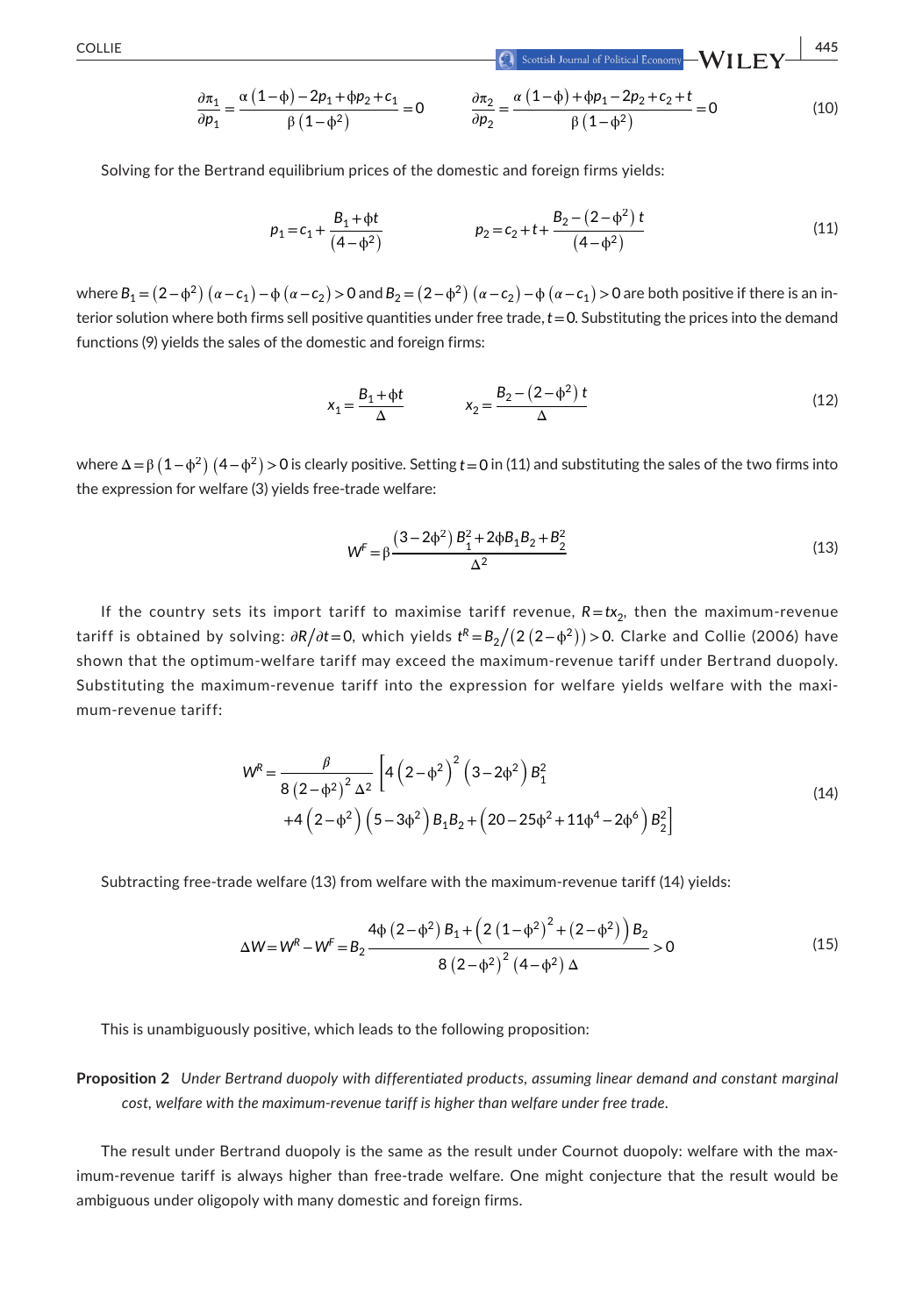**|** COLLIE **445**

$$
\frac{\partial \pi_1}{\partial p_1} = \frac{\alpha (1 - \phi) - 2p_1 + \phi p_2 + c_1}{\beta (1 - \phi^2)} = 0 \qquad \frac{\partial \pi_2}{\partial p_2} = \frac{\alpha (1 - \phi) + \phi p_1 - 2p_2 + c_2 + t}{\beta (1 - \phi^2)} = 0 \tag{10}
$$

Solving for the Bertrand equilibrium prices of the domestic and foreign firms yields:

$$
p_1 = c_1 + \frac{B_1 + \phi t}{(4 - \phi^2)} \qquad p_2 = c_2 + t + \frac{B_2 - (2 - \phi^2) t}{(4 - \phi^2)} \qquad (11)
$$

where  $B_1 = (2-\phi^2)(\alpha - c_1) - \phi(\alpha - c_2) > 0$  and  $B_2 = (2-\phi^2)(\alpha - c_2) - \phi(\alpha - c_1) > 0$  are both positive if there is an interior solution where both firms sell positive quantities under free trade, *t*=0. Substituting the prices into the demand functions (9) yields the sales of the domestic and foreign firms:

$$
x_1 = \frac{B_1 + \phi t}{\Delta} \qquad x_2 = \frac{B_2 - (2 - \phi^2) t}{\Delta} \tag{12}
$$

where Δ=β  $(1-\phi^2)(4-\phi^2)$  > 0 is clearly positive. Setting *t* = 0 in (11) and substituting the sales of the two firms into the expression for welfare (3) yields free-trade welfare:

$$
W^{F} = \beta \frac{(3 - 2\phi^{2})B_{1}^{2} + 2\phi B_{1}B_{2} + B_{2}^{2}}{\Delta^{2}}
$$
\n(13)

If the country sets its import tariff to maximise tariff revenue,  $R = tx_2$ , then the maximum-revenue tariff is obtained by solving:  $\partial R/\partial t$ =0, which yields  $t^R$ = $B_2/(2\,(2\!-\!\phi^2))$ >0. Clarke and Collie (2006) have shown that the optimum-welfare tariff may exceed the maximum-revenue tariff under Bertrand duopoly. Substituting the maximum-revenue tariff into the expression for welfare yields welfare with the maximum-revenue tariff:

$$
W^{R} = \frac{\beta}{8 (2 - \phi^{2})^{2} \Delta^{2}} \left[ 4 (2 - \phi^{2})^{2} (3 - 2\phi^{2}) B_{1}^{2} + 4 (2 - \phi^{2}) (5 - 3\phi^{2}) B_{1} B_{2} + (20 - 25\phi^{2} + 11\phi^{4} - 2\phi^{6}) B_{2}^{2} \right]
$$
\n(14)

Subtracting free-trade welfare (13) from welfare with the maximum-revenue tariff (14) yields:

$$
\Delta W = W^{R} - W^{F} = B_{2} \frac{4\Phi (2 - \Phi^{2}) B_{1} + (2 (1 - \Phi^{2})^{2} + (2 - \Phi^{2})) B_{2}}{8 (2 - \Phi^{2})^{2} (4 - \Phi^{2}) \Delta} > 0
$$
\n(15)

This is unambiguously positive, which leads to the following proposition:

**Proposition 2** *Under Bertrand duopoly with differentiated products, assuming linear demand and constant marginal cost, welfare with the maximum-revenue tariff is higher than welfare under free trade.*

The result under Bertrand duopoly is the same as the result under Cournot duopoly: welfare with the maximum-revenue tariff is always higher than free-trade welfare. One might conjecture that the result would be ambiguous under oligopoly with many domestic and foreign firms.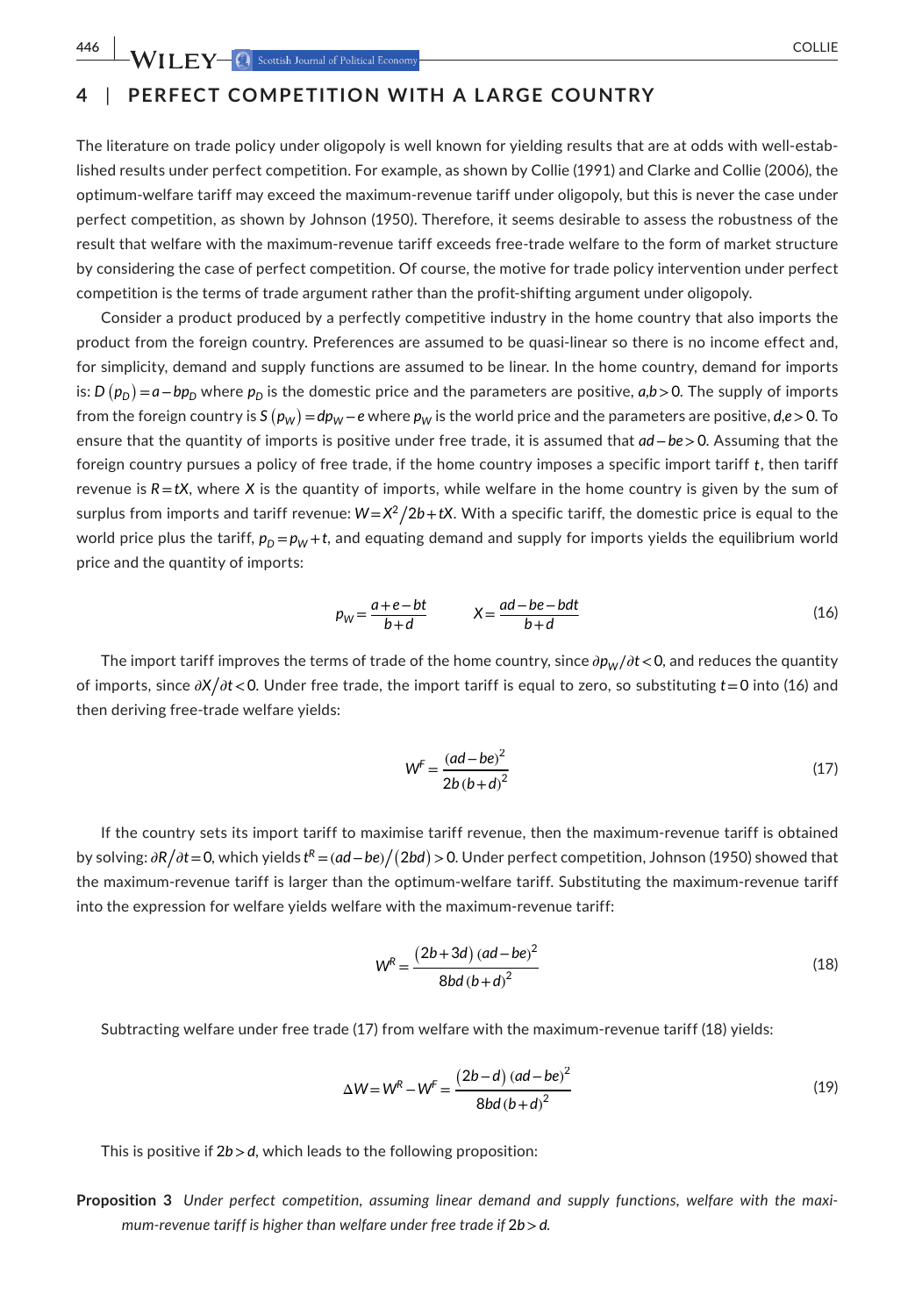## **4** | **PERFECT COMPETITION WITH A LARGE COUNTRY**

The literature on trade policy under oligopoly is well known for yielding results that are at odds with well-established results under perfect competition. For example, as shown by Collie (1991) and Clarke and Collie (2006), the optimum-welfare tariff may exceed the maximum-revenue tariff under oligopoly, but this is never the case under perfect competition, as shown by Johnson (1950). Therefore, it seems desirable to assess the robustness of the result that welfare with the maximum-revenue tariff exceeds free-trade welfare to the form of market structure by considering the case of perfect competition. Of course, the motive for trade policy intervention under perfect competition is the terms of trade argument rather than the profit-shifting argument under oligopoly.

Consider a product produced by a perfectly competitive industry in the home country that also imports the product from the foreign country. Preferences are assumed to be quasi-linear so there is no income effect and, for simplicity, demand and supply functions are assumed to be linear. In the home country, demand for imports is: *D* ( $p$ <sub>D</sub>) = *a*−*bp*<sub>D</sub> where  $p$ <sub>D</sub> is the domestic price and the parameters are positive, *a*,*b*>0. The supply of imports from the foreign country is S  $(p_W)$  =  $dp_W$  –  $e$  where  $p_W$  is the world price and the parameters are positive,  $d,e$  > 0. To ensure that the quantity of imports is positive under free trade, it is assumed that *ad*−*be>*0. Assuming that the foreign country pursues a policy of free trade, if the home country imposes a specific import tariff *t*, then tariff revenue is  $R = tX$ , where *X* is the quantity of imports, while welfare in the home country is given by the sum of surplus from imports and tariff revenue: *W*=*X*2/ 2*b*+*tX*. With a specific tariff, the domestic price is equal to the world price plus the tariff,  $p_D = p_W + t$ , and equating demand and supply for imports yields the equilibrium world price and the quantity of imports:

$$
p_W = \frac{a + e - bt}{b + d} \qquad X = \frac{ad - be - bdt}{b + d} \tag{16}
$$

The import tariff improves the terms of trade of the home country, since  $\partial p_W/\partial t$  < 0, and reduces the quantity of imports, since ∂X/∂t<0. Under free trade, the import tariff is equal to zero, so substituting *t*=0 into (16) and then deriving free-trade welfare yields:

$$
W^{F} = \frac{(ad - be)^{2}}{2b(b + d)^{2}}
$$
(17)

If the country sets its import tariff to maximise tariff revenue, then the maximum-revenue tariff is obtained by solving: ∂R/∂t = 0, which yields t<sup>R</sup> = (ad − be)/(2bd) > 0. Under perfect competition, Johnson (1950) showed that the maximum-revenue tariff is larger than the optimum-welfare tariff. Substituting the maximum-revenue tariff into the expression for welfare yields welfare with the maximum-revenue tariff:

$$
W^{R} = \frac{(2b+3d)(ad-be)^{2}}{8bd(b+d)^{2}}
$$
(18)

Subtracting welfare under free trade (17) from welfare with the maximum-revenue tariff (18) yields:

$$
\Delta W = W^{R} - W^{F} = \frac{(2b - d) (ad - be)^{2}}{8bd (b + d)^{2}}
$$
(19)

This is positive if 2*b>d*, which leads to the following proposition:

**Proposition 3** *Under perfect competition, assuming linear demand and supply functions, welfare with the maximum-revenue tariff is higher than welfare under free trade if* 2*b>d.*